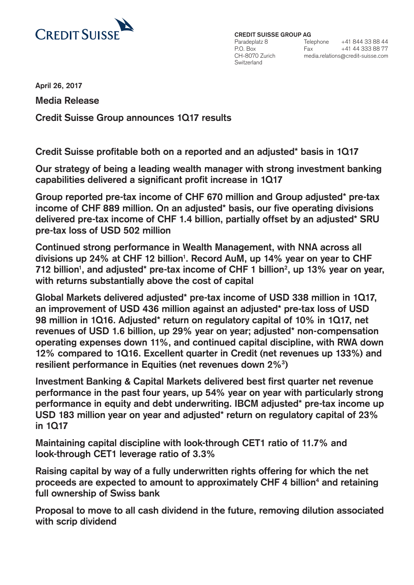

**CREDIT SUISSE GROUP AG** Paradeplatz 8 P.O. Box CH-8070 Zurich Switzerland

Telephone +41 844 33 88 44  $Fax$  +41 44 333 88 77 media.relations@credit-suisse.com

**April 26, 2017** 

**Media Release Credit Suisse Group announces 1Q17 results**

**Credit Suisse profitable both on a reported and an adjusted\* basis in 1Q17**

**Our strategy of being a leading wealth manager with strong investment banking capabilities delivered a significant profit increase in 1Q17**

**Group reported pre-tax income of CHF 670 million and Group adjusted\* pre-tax income of CHF 889 million. On an adjusted\* basis, our five operating divisions delivered pre-tax income of CHF 1.4 billion, partially offset by an adjusted\* SRU pre-tax loss of USD 502 million**

**Continued strong performance in Wealth Management, with NNA across all divisions up 24% at CHF 12 billion1 . Record AuM, up 14% year on year to CHF**  712 billion<sup>1</sup>, and adjusted\* pre-tax income of CHF 1 billion<sup>2</sup>, up 13% year on year, **with returns substantially above the cost of capital**

**Global Markets delivered adjusted\* pre-tax income of USD 338 million in 1Q17, an improvement of USD 436 million against an adjusted\* pre-tax loss of USD 98 million in 1Q16. Adjusted\* return on regulatory capital of 10% in 1Q17, net revenues of USD 1.6 billion, up 29% year on year; adjusted\* non-compensation operating expenses down 11%, and continued capital discipline, with RWA down 12% compared to 1Q16. Excellent quarter in Credit (net revenues up 133%) and resilient performance in Equities (net revenues down 2%3 )**

**Investment Banking & Capital Markets delivered best first quarter net revenue performance in the past four years, up 54% year on year with particularly strong performance in equity and debt underwriting. IBCM adjusted\* pre-tax income up USD 183 million year on year and adjusted\* return on regulatory capital of 23% in 1Q17** 

**Maintaining capital discipline with look-through CET1 ratio of 11.7% and look-through CET1 leverage ratio of 3.3%**

**Raising capital by way of a fully underwritten rights offering for which the net**  proceeds are expected to amount to approximately CHF 4 billion<sup>4</sup> and retaining **full ownership of Swiss bank** 

**Proposal to move to all cash dividend in the future, removing dilution associated with scrip dividend**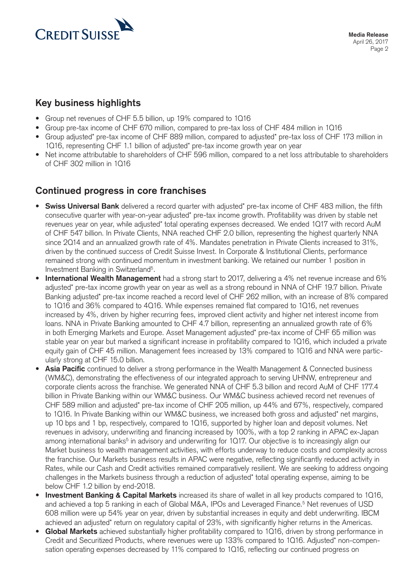

## **Key business highlights**

- Group net revenues of CHF 5.5 billion, up 19% compared to 1Q16
- Group pre-tax income of CHF 670 million, compared to pre-tax loss of CHF 484 million in 1Q16
- Group adjusted\* pre-tax income of CHF 889 million, compared to adjusted\* pre-tax loss of CHF 173 million in 1Q16, representing CHF 1.1 billion of adjusted\* pre-tax income growth year on year
- Net income attributable to shareholders of CHF 596 million, compared to a net loss attributable to shareholders of CHF 302 million in 1Q16

# **Continued progress in core franchises**

- **Swiss Universal Bank** delivered a record quarter with adjusted\* pre-tax income of CHF 483 million, the fifth consecutive quarter with year-on-year adjusted\* pre-tax income growth. Profitability was driven by stable net revenues year on year, while adjusted\* total operating expenses decreased. We ended 1Q17 with record AuM of CHF 547 billion. In Private Clients, NNA reached CHF 2.0 billion, representing the highest quarterly NNA since 2Q14 and an annualized growth rate of 4%. Mandates penetration in Private Clients increased to 31%, driven by the continued success of Credit Suisse Invest. In Corporate & Institutional Clients, performance remained strong with continued momentum in investment banking. We retained our number 1 position in Investment Banking in Switzerland<sup>5</sup>.
- **International Wealth Management** had a strong start to 2017, delivering a 4% net revenue increase and 6% adjusted\* pre-tax income growth year on year as well as a strong rebound in NNA of CHF 19.7 billion. Private Banking adjusted\* pre-tax income reached a record level of CHF 262 million, with an increase of 8% compared to 1Q16 and 36% compared to 4Q16. While expenses remained flat compared to 1Q16, net revenues increased by 4%, driven by higher recurring fees, improved client activity and higher net interest income from loans. NNA in Private Banking amounted to CHF 4.7 billion, representing an annualized growth rate of 6% in both Emerging Markets and Europe. Asset Management adjusted\* pre-tax income of CHF 65 million was stable year on year but marked a significant increase in profitability compared to 1Q16, which included a private equity gain of CHF 45 million. Management fees increased by 13% compared to 1Q16 and NNA were particularly strong at CHF 15.0 billion.
- **Asia Pacific** continued to deliver a strong performance in the Wealth Management & Connected business (WM&C), demonstrating the effectiveness of our integrated approach to serving UHNW, entrepreneur and corporate clients across the franchise. We generated NNA of CHF 5.3 billion and record AuM of CHF 177.4 billion in Private Banking within our WM&C business. Our WM&C business achieved record net revenues of CHF 589 million and adjusted\* pre-tax income of CHF 205 million, up 44% and 67%, respectively, compared to 1Q16. In Private Banking within our WM&C business, we increased both gross and adjusted\* net margins, up 10 bps and 1 bp, respectively, compared to 1Q16, supported by higher loan and deposit volumes. Net revenues in advisory, underwriting and financing increased by 100%, with a top 2 ranking in APAC ex-Japan among international banks<sup>5</sup> in advisory and underwriting for 1Q17. Our objective is to increasingly align our Market business to wealth management activities, with efforts underway to reduce costs and complexity across the franchise. Our Markets business results in APAC were negative, reflecting significantly reduced activity in Rates, while our Cash and Credit activities remained comparatively resilient. We are seeking to address ongoing challenges in the Markets business through a reduction of adjusted\* total operating expense, aiming to be below CHF 1.2 billion by end-2018.
- **Investment Banking & Capital Markets** increased its share of wallet in all key products compared to 1Q16, and achieved a top 5 ranking in each of Global M&A, IPOs and Leveraged Finance.<sup>5</sup> Net revenues of USD 608 million were up 54% year on year, driven by substantial increases in equity and debt underwriting. IBCM achieved an adjusted\* return on regulatory capital of 23%, with significantly higher returns in the Americas.
- **Global Markets** achieved substantially higher profitability compared to 1Q16, driven by strong performance in Credit and Securitized Products, where revenues were up 133% compared to 1Q16. Adjusted\* non-compensation operating expenses decreased by 11% compared to 1Q16, reflecting our continued progress on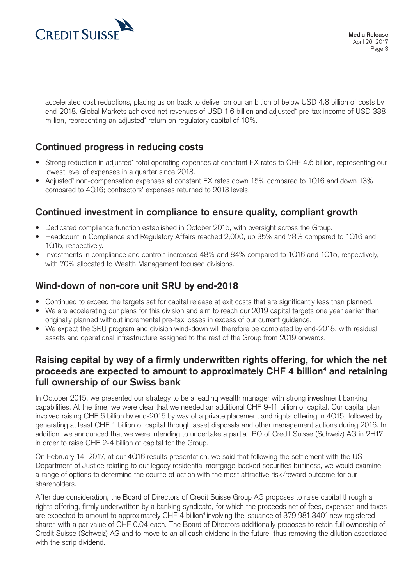

accelerated cost reductions, placing us on track to deliver on our ambition of below USD 4.8 billion of costs by end-2018. Global Markets achieved net revenues of USD 1.6 billion and adjusted\* pre-tax income of USD 338 million, representing an adjusted\* return on regulatory capital of 10%.

# **Continued progress in reducing costs**

- Strong reduction in adjusted\* total operating expenses at constant FX rates to CHF 4.6 billion, representing our lowest level of expenses in a quarter since 2013.
- Adjusted\* non-compensation expenses at constant FX rates down 15% compared to 1Q16 and down 13% compared to 4Q16; contractors' expenses returned to 2013 levels.

## **Continued investment in compliance to ensure quality, compliant growth**

- Dedicated compliance function established in October 2015, with oversight across the Group.
- Headcount in Compliance and Regulatory Affairs reached 2,000, up 35% and 78% compared to 1Q16 and 1Q15, respectively.
- Investments in compliance and controls increased 48% and 84% compared to 1Q16 and 1Q15, respectively, with 70% allocated to Wealth Management focused divisions.

# **Wind-down of non-core unit SRU by end-2018**

- Continued to exceed the targets set for capital release at exit costs that are significantly less than planned.
- We are accelerating our plans for this division and aim to reach our 2019 capital targets one year earlier than originally planned without incremental pre-tax losses in excess of our current guidance.
- We expect the SRU program and division wind-down will therefore be completed by end-2018, with residual assets and operational infrastructure assigned to the rest of the Group from 2019 onwards.

## **Raising capital by way of a firmly underwritten rights offering, for which the net**  proceeds are expected to amount to approximately CHF 4 billion<sup>4</sup> and retaining **full ownership of our Swiss bank**

In October 2015, we presented our strategy to be a leading wealth manager with strong investment banking capabilities. At the time, we were clear that we needed an additional CHF 9-11 billion of capital. Our capital plan involved raising CHF 6 billion by end-2015 by way of a private placement and rights offering in 4Q15, followed by generating at least CHF 1 billion of capital through asset disposals and other management actions during 2016. In addition, we announced that we were intending to undertake a partial IPO of Credit Suisse (Schweiz) AG in 2H17 in order to raise CHF 2-4 billion of capital for the Group.

On February 14, 2017, at our 4Q16 results presentation, we said that following the settlement with the US Department of Justice relating to our legacy residential mortgage-backed securities business, we would examine a range of options to determine the course of action with the most attractive risk/reward outcome for our shareholders.

After due consideration, the Board of Directors of Credit Suisse Group AG proposes to raise capital through a rights offering, firmly underwritten by a banking syndicate, for which the proceeds net of fees, expenses and taxes are expected to amount to approximately CHF 4 billion<sup>4</sup> involving the issuance of 379,981,340<sup>4</sup> new registered shares with a par value of CHF 0.04 each. The Board of Directors additionally proposes to retain full ownership of Credit Suisse (Schweiz) AG and to move to an all cash dividend in the future, thus removing the dilution associated with the scrip dividend.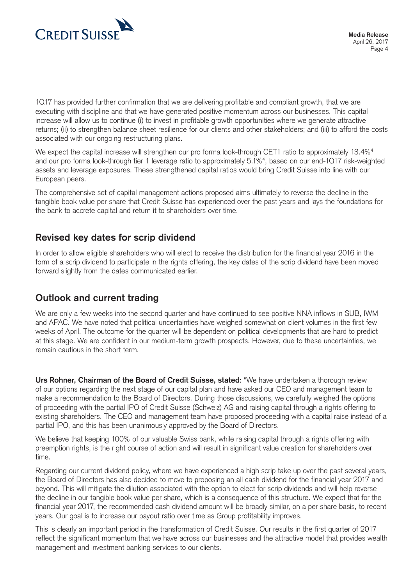

1Q17 has provided further confirmation that we are delivering profitable and compliant growth, that we are executing with discipline and that we have generated positive momentum across our businesses. This capital increase will allow us to continue (i) to invest in profitable growth opportunities where we generate attractive returns; (ii) to strengthen balance sheet resilience for our clients and other stakeholders; and (iii) to afford the costs associated with our ongoing restructuring plans.

We expect the capital increase will strengthen our pro forma look-through CET1 ratio to approximately 13.4%<sup>4</sup> and our pro forma look-through tier 1 leverage ratio to approximately 5.1%4 , based on our end-1Q17 risk-weighted assets and leverage exposures. These strengthened capital ratios would bring Credit Suisse into line with our European peers.

The comprehensive set of capital management actions proposed aims ultimately to reverse the decline in the tangible book value per share that Credit Suisse has experienced over the past years and lays the foundations for the bank to accrete capital and return it to shareholders over time.

## **Revised key dates for scrip dividend**

In order to allow eligible shareholders who will elect to receive the distribution for the financial year 2016 in the form of a scrip dividend to participate in the rights offering, the key dates of the scrip dividend have been moved forward slightly from the dates communicated earlier.

## **Outlook and current trading**

We are only a few weeks into the second quarter and have continued to see positive NNA inflows in SUB, IWM and APAC. We have noted that political uncertainties have weighed somewhat on client volumes in the first few weeks of April. The outcome for the quarter will be dependent on political developments that are hard to predict at this stage. We are confident in our medium-term growth prospects. However, due to these uncertainties, we remain cautious in the short term.

**Urs Rohner, Chairman of the Board of Credit Suisse, stated**: "We have undertaken a thorough review of our options regarding the next stage of our capital plan and have asked our CEO and management team to make a recommendation to the Board of Directors. During those discussions, we carefully weighed the options of proceeding with the partial IPO of Credit Suisse (Schweiz) AG and raising capital through a rights offering to existing shareholders. The CEO and management team have proposed proceeding with a capital raise instead of a partial IPO, and this has been unanimously approved by the Board of Directors.

We believe that keeping 100% of our valuable Swiss bank, while raising capital through a rights offering with preemption rights, is the right course of action and will result in significant value creation for shareholders over time.

Regarding our current dividend policy, where we have experienced a high scrip take up over the past several years, the Board of Directors has also decided to move to proposing an all cash dividend for the financial year 2017 and beyond. This will mitigate the dilution associated with the option to elect for scrip dividends and will help reverse the decline in our tangible book value per share, which is a consequence of this structure. We expect that for the financial year 2017, the recommended cash dividend amount will be broadly similar, on a per share basis, to recent years. Our goal is to increase our payout ratio over time as Group profitability improves.

This is clearly an important period in the transformation of Credit Suisse. Our results in the first quarter of 2017 reflect the significant momentum that we have across our businesses and the attractive model that provides wealth management and investment banking services to our clients.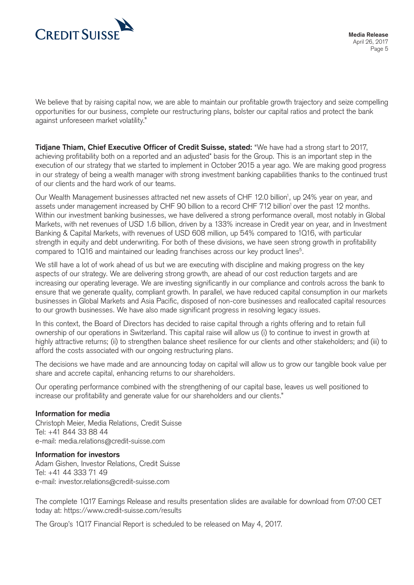

We believe that by raising capital now, we are able to maintain our profitable growth trajectory and seize compelling opportunities for our business, complete our restructuring plans, bolster our capital ratios and protect the bank against unforeseen market volatility."

**Tidjane Thiam, Chief Executive Officer of Credit Suisse, stated:** "We have had a strong start to 2017, achieving profitability both on a reported and an adjusted\* basis for the Group. This is an important step in the execution of our strategy that we started to implement in October 2015 a year ago. We are making good progress in our strategy of being a wealth manager with strong investment banking capabilities thanks to the continued trust of our clients and the hard work of our teams.

Our Wealth Management businesses attracted net new assets of CHF 12.0 billion<sup>1</sup>, up 24% year on year, and assets under management increased by CHF 90 billion to a record CHF 712 billion<sup>1</sup> over the past 12 months. Within our investment banking businesses, we have delivered a strong performance overall, most notably in Global Markets, with net revenues of USD 1.6 billion, driven by a 133% increase in Credit year on year, and in Investment Banking & Capital Markets, with revenues of USD 608 million, up 54% compared to 1Q16, with particular strength in equity and debt underwriting. For both of these divisions, we have seen strong growth in profitability compared to 1016 and maintained our leading franchises across our key product lines<sup>5</sup>.

We still have a lot of work ahead of us but we are executing with discipline and making progress on the key aspects of our strategy. We are delivering strong growth, are ahead of our cost reduction targets and are increasing our operating leverage. We are investing significantly in our compliance and controls across the bank to ensure that we generate quality, compliant growth. In parallel, we have reduced capital consumption in our markets businesses in Global Markets and Asia Pacific, disposed of non-core businesses and reallocated capital resources to our growth businesses. We have also made significant progress in resolving legacy issues.

In this context, the Board of Directors has decided to raise capital through a rights offering and to retain full ownership of our operations in Switzerland. This capital raise will allow us (i) to continue to invest in growth at highly attractive returns; (ii) to strengthen balance sheet resilience for our clients and other stakeholders; and (iii) to afford the costs associated with our ongoing restructuring plans.

The decisions we have made and are announcing today on capital will allow us to grow our tangible book value per share and accrete capital, enhancing returns to our shareholders.

Our operating performance combined with the strengthening of our capital base, leaves us well positioned to increase our profitability and generate value for our shareholders and our clients."

## **Information for media**

Christoph Meier, Media Relations, Credit Suisse Tel: +41 844 33 88 44 e-mail: media.relations@credit-suisse.com

#### **Information for investors**

Adam Gishen, Investor Relations, Credit Suisse Tel: +41 44 333 71 49 e-mail: investor.relations@credit-suisse.com

The complete 1Q17 Earnings Release and results presentation slides are available for download from 07:00 CET today at: https://www.credit-suisse.com/results

The Group's 1Q17 Financial Report is scheduled to be released on May 4, 2017.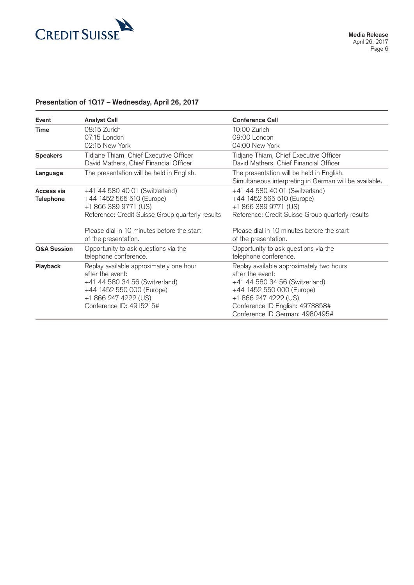

## **Presentation of 1Q17 – Wednesday, April 26, 2017**

| Event                          | <b>Analyst Call</b>                                                                                                                                                           | <b>Conference Call</b>                                                                                                                                                                                                   |
|--------------------------------|-------------------------------------------------------------------------------------------------------------------------------------------------------------------------------|--------------------------------------------------------------------------------------------------------------------------------------------------------------------------------------------------------------------------|
| <b>Time</b>                    | 08:15 Zurich<br>07:15 London<br>02:15 New York                                                                                                                                | 10:00 Zurich<br>09:00 London<br>04:00 New York                                                                                                                                                                           |
| <b>Speakers</b>                | Tidjane Thiam, Chief Executive Officer<br>David Mathers, Chief Financial Officer                                                                                              | Tidjane Thiam, Chief Executive Officer<br>David Mathers, Chief Financial Officer                                                                                                                                         |
| Language                       | The presentation will be held in English.                                                                                                                                     | The presentation will be held in English.<br>Simultaneous interpreting in German will be available.                                                                                                                      |
| Access via<br><b>Telephone</b> | +41 44 580 40 01 (Switzerland)<br>+44 1452 565 510 (Europe)<br>+1 866 389 9771 (US)<br>Reference: Credit Suisse Group quarterly results                                       | +41 44 580 40 01 (Switzerland)<br>+44 1452 565 510 (Europe)<br>+1 866 389 9771 (US)<br>Reference: Credit Suisse Group quarterly results                                                                                  |
|                                | Please dial in 10 minutes before the start<br>of the presentation.                                                                                                            | Please dial in 10 minutes before the start<br>of the presentation.                                                                                                                                                       |
| <b>Q&amp;A Session</b>         | Opportunity to ask questions via the<br>telephone conference.                                                                                                                 | Opportunity to ask questions via the<br>telephone conference.                                                                                                                                                            |
| <b>Playback</b>                | Replay available approximately one hour<br>after the event:<br>+41 44 580 34 56 (Switzerland)<br>+44 1452 550 000 (Europe)<br>+1 866 247 4222 (US)<br>Conference ID: 4915215# | Replay available approximately two hours<br>after the event:<br>+41 44 580 34 56 (Switzerland)<br>+44 1452 550 000 (Europe)<br>+1 866 247 4222 (US)<br>Conference ID English: 4973858#<br>Conference ID German: 4980495# |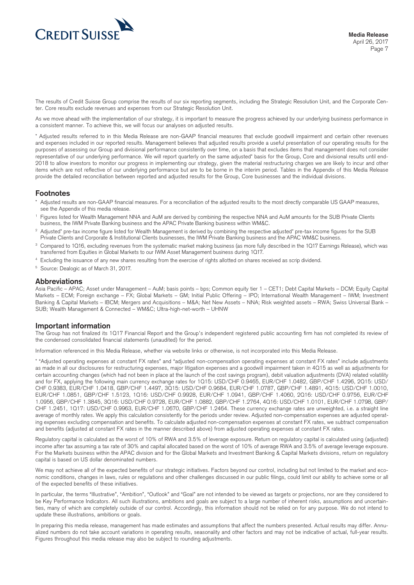

The results of Credit Suisse Group comprise the results of our six reporting segments, including the Strategic Resolution Unit, and the Corporate Center. Core results exclude revenues and expenses from our Strategic Resolution Unit.

As we move ahead with the implementation of our strategy, it is important to measure the progress achieved by our underlying business performance in a consistent manner. To achieve this, we will focus our analyses on adjusted results.

\* Adjusted results referred to in this Media Release are non-GAAP financial measures that exclude goodwill impairment and certain other revenues and expenses included in our reported results. Management believes that adjusted results provide a useful presentation of our operating results for the purposes of assessing our Group and divisional performance consistently over time, on a basis that excludes items that management does not consider representative of our underlying performance. We will report quarterly on the same adjusted\* basis for the Group, Core and divisional results until end-2018 to allow investors to monitor our progress in implementing our strategy, given the material restructuring charges we are likely to incur and other items which are not reflective of our underlying performance but are to be borne in the interim period. Tables in the Appendix of this Media Release provide the detailed reconciliation between reported and adjusted results for the Group, Core businesses and the individual divisions.

#### **Footnotes**

- Adjusted results are non-GAAP financial measures. For a reconciliation of the adjusted results to the most directly comparable US GAAP measures, see the Appendix of this media release.
- <sup>1</sup> Figures listed for Wealth Management NNA and AuM are derived by combining the respective NNA and AuM amounts for the SUB Private Clients business, the IWM Private Banking business and the APAC Private Banking business within WM&C.
- <sup>2</sup> Adjusted\* pre-tax income figure listed for Wealth Management is derived by combining the respective adjusted\* pre-tax income figures for the SUB Private Clients and Corporate & Institutional Clients businesses, the IWM Private Banking business and the APAC WM&C business.
- <sup>3</sup> Compared to 1016, excluding revenues from the systematic market making business (as more fully described in the 1017 Earnings Release), which was transferred from Equities in Global Markets to our IWM Asset Management business during 1Q17.
- <sup>4</sup> Excluding the issuance of any new shares resulting from the exercise of rights allotted on shares received as scrip dividend.
- <sup>5</sup> Source: Dealogic as of March 31, 2017.

#### **Abbreviations**

Asia Pacific – APAC; Asset under Management – AuM; basis points – bps; Common equity tier 1 – CET1; Debt Capital Markets – DCM; Equity Capital Markets – ECM; Foreign exchange – FX; Global Markets – GM; Initial Public Offering – IPO; International Wealth Management – IWM; Investment Banking & Capital Markets – IBCM; Mergers and Acquisitions – M&A; Net New Assets – NNA; Risk weighted assets – RWA; Swiss Universal Bank – SUB; Wealth Management & Connected – WM&C; Ultra-high-net-worth – UHNW

#### **Important information**

The Group has not finalized its 1Q17 Financial Report and the Group's independent registered public accounting firm has not completed its review of the condensed consolidated financial statements (unaudited) for the period.

Information referenced in this Media Release, whether via website links or otherwise, is not incorporated into this Media Release.

\* "Adjusted operating expenses at constant FX rates" and "adjusted non-compensation operating expenses at constant FX rates" include adjustments as made in all our disclosures for restructuring expenses, major litigation expenses and a goodwill impairment taken in 4Q15 as well as adjustments for certain accounting changes (which had not been in place at the launch of the cost savings program), debit valuation adjustments (DVA) related volatility and for FX, applying the following main currency exchange rates for 1Q15: USD/CHF 0.9465, EUR/CHF 1.0482, GBP/CHF 1.4296, 2Q15: USD/ CHF 0.9383, EUR/CHF 1.0418, GBP/CHF 1.4497, 3Q15: USD/CHF 0.9684, EUR/CHF 1.0787, GBP/CHF 1.4891, 4Q15: USD/CHF 1.0010, EUR/CHF 1.0851, GBP/CHF 1.5123, 1Q16: USD/CHF 0.9928, EUR/CHF 1.0941, GBP/CHF 1.4060, 2Q16: USD/CHF 0.9756, EUR/CHF 1.0956, GBP/CHF 1.3845, 3Q16: USD/CHF 0.9728, EUR/CHF 1.0882, GBP/CHF 1.2764, 4Q16: USD/CHF 1.0101, EUR/CHF 1.0798, GBP/ CHF 1.2451, 1Q17: USD/CHF 0.9963, EUR/CHF 1.0670, GBP/CHF 1.2464. These currency exchange rates are unweighted, i.e. a straight line average of monthly rates. We apply this calculation consistently for the periods under review. Adjusted non-compensation expenses are adjusted operating expenses excluding compensation and benefits. To calculate adjusted non-compensation expenses at constant FX rates, we subtract compensation and benefits (adjusted at constant FX rates in the manner described above) from adjusted operating expenses at constant FX rates.

Regulatory capital is calculated as the worst of 10% of RWA and 3.5% of leverage exposure. Return on regulatory capital is calculated using (adjusted) income after tax assuming a tax rate of 30% and capital allocated based on the worst of 10% of average RWA and 3.5% of average leverage exposure. For the Markets business within the APAC division and for the Global Markets and Investment Banking & Capital Markets divisions, return on regulatory capital is based on US dollar denominated numbers.

We may not achieve all of the expected benefits of our strategic initiatives. Factors beyond our control, including but not limited to the market and economic conditions, changes in laws, rules or regulations and other challenges discussed in our public filings, could limit our ability to achieve some or all of the expected benefits of these initiatives.

In particular, the terms "Illustrative", "Ambition", "Outlook" and "Goal" are not intended to be viewed as targets or projections, nor are they considered to be Key Performance Indicators. All such illustrations, ambitions and goals are subject to a large number of inherent risks, assumptions and uncertainties, many of which are completely outside of our control. Accordingly, this information should not be relied on for any purpose. We do not intend to update these illustrations, ambitions or goals.

In preparing this media release, management has made estimates and assumptions that affect the numbers presented. Actual results may differ. Annualized numbers do not take account variations in operating results, seasonality and other factors and may not be indicative of actual, full-year results. Figures throughout this media release may also be subject to rounding adjustments.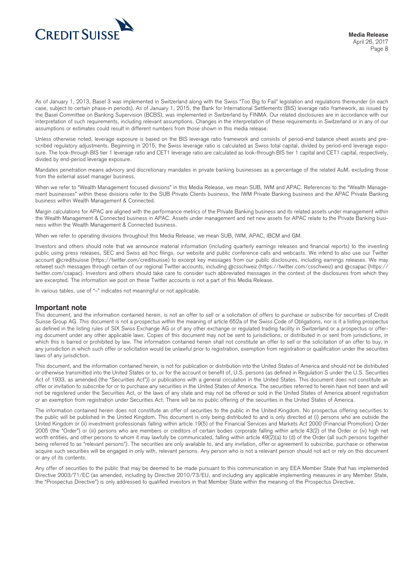

As of January 1, 2013, Basel 3 was implemented in Switzerland along with the Swiss "Too Big to Fail" legislation and regulations thereunder (in each case, subject to certain phase-in periods). As of January 1, 2015, the Bank for International Settlements (BIS) leverage ratio framework, as issued by the Basel Committee on Banking Supervision (BCBS), was implemented in Switzerland by FINMA. Our related disclosures are in accordance with our interpretation of such requirements, including relevant assumptions. Changes in the interpretation of these requirements in Switzerland or in any of our assumptions or estimates could result in different numbers from those shown in this media release.

Unless otherwise noted, leverage exposure is based on the BIS leverage ratio framework and consists of period-end balance sheet assets and prescribed regulatory adjustments. Beginning in 2015, the Swiss leverage ratio is calculated as Swiss total capital, divided by period-end leverage exposure. The look-through BIS tier 1 leverage ratio and CET1 leverage ratio are calculated as look-through BIS tier 1 capital and CET1 capital, respectively, divided by end-period leverage exposure.

Mandates penetration means advisory and discretionary mandates in private banking businesses as a percentage of the related AuM, excluding those from the external asset manager business.

When we refer to "Wealth Management focused divisions" in this Media Release, we mean SUB, IWM and APAC. References to the "Wealth Management businesses" within these divisions refer to the SUB Private Clients business, the IWM Private Banking business and the APAC Private Banking business within Wealth Management & Connected.

Margin calculations for APAC are aligned with the performance metrics of the Private Banking business and its related assets under management within the Wealth Management & Connected business in APAC. Assets under management and net new assets for APAC relate to the Private Banking business within the Wealth Management & Connected business.

When we refer to operating divisions throughout this Media Release, we mean SUB, IWM, APAC, IBCM and GM.

Investors and others should note that we announce material information (including quarterly earnings releases and financial reports) to the investing public using press releases, SEC and Swiss ad hoc filings, our website and public conference calls and webcasts. We intend to also use our Twitter account @creditsuisse (https://twitter.com/creditsuisse) to excerpt key messages from our public disclosures, including earnings releases. We may retweet such messages through certain of our regional Twitter accounts, including @csschweiz (https://twitter.com/csschweiz) and @csapac (https:// twitter.com/csapac). Investors and others should take care to consider such abbreviated messages in the context of the disclosures from which they are excerpted. The information we post on these Twitter accounts is not a part of this Media Release.

In various tables, use of "–" indicates not meaningful or not applicable.

#### **Important note**

This document, and the information contained herein, is not an offer to sell or a solicitation of offers to purchase or subscribe for securities of Credit Suisse Group AG. This document is not a prospectus within the meaning of article 652a of the Swiss Code of Obligations, nor is it a listing prospectus as defined in the listing rules of SIX Swiss Exchange AG or of any other exchange or regulated trading facility in Switzerland or a prospectus or offering document under any other applicable laws. Copies of this document may not be sent to jurisdictions, or distributed in or sent from jurisdictions, in which this is barred or prohibited by law. The information contained herein shall not constitute an offer to sell or the solicitation of an offer to buy, in any jurisdiction in which such offer or solicitation would be unlawful prior to registration, exemption from registration or qualification under the securities laws of any jurisdiction.

This document, and the information contained herein, is not for publication or distribution into the United States of America and should not be distributed or otherwise transmitted into the United States or to, or for the account or benefit of, U.S. persons (as defined in Regulation S under the U.S. Securities Act of 1933, as amended (the "Securities Act")) or publications with a general circulation in the United States. This document does not constitute an offer or invitation to subscribe for or to purchase any securities in the United States of America. The securities referred to herein have not been and will not be registered under the Securities Act, or the laws of any state and may not be offered or sold in the United States of America absent registration or an exemption from registration under Securities Act. There will be no public offering of the securities in the United States of America.

The information contained herein does not constitute an offer of securities to the public in the United Kingdom. No prospectus offering securities to the public will be published in the United Kingdom. This document is only being distributed to and is only directed at (i) persons who are outside the United Kingdom or (ii) investment professionals falling within article 19(5) of the Financial Services and Markets Act 2000 (Financial Promotion) Order 2005 (the "Order") or (iii) persons who are members or creditors of certain bodies corporate falling within article 43(2) of the Order or (iv) high net worth entities, and other persons to whom it may lawfully be communicated, falling within article 49(2)(a) to (d) of the Order (all such persons together being referred to as "relevant persons"). The securities are only available to, and any invitation, offer or agreement to subscribe, purchase or otherwise acquire such securities will be engaged in only with, relevant persons. Any person who is not a relevant person should not act or rely on this document or any of its contents.

Any offer of securities to the public that may be deemed to be made pursuant to this communication in any EEA Member State that has implemented Directive 2003/71/EC (as amended, including by Directive 2010/73/EU, and including any applicable implementing measures in any Member State, the "Prospectus Directive") is only addressed to qualified investors in that Member State within the meaning of the Prospectus Directive.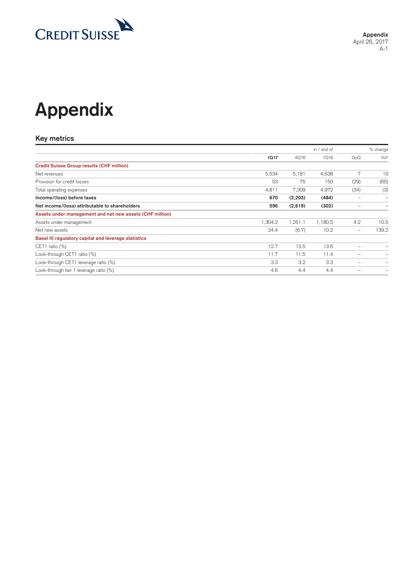

# **Appendix**

#### **Key metrics**

|                                                          |         |         | in / end of |                                                                           | % change                 |
|----------------------------------------------------------|---------|---------|-------------|---------------------------------------------------------------------------|--------------------------|
|                                                          | 1017    | 4016    | 1016        | Q <sub>0</sub> Q                                                          | YoY                      |
| <b>Credit Suisse Group results (CHF million)</b>         |         |         |             |                                                                           |                          |
| Net revenues                                             | 5,534   | 5,181   | 4,638       | 7                                                                         | 19                       |
| Provision for credit losses                              | 53      | 75      | 150         | (29)                                                                      | (65)                     |
| Total operating expenses                                 | 4,811   | 7,309   | 4,972       | (34)                                                                      | (3)                      |
| Income/(loss) before taxes                               | 670     | (2,203) | (484)       | -                                                                         | -                        |
| Net income/(loss) attributable to shareholders           | 596     | (2,619) | (302)       | -                                                                         | -                        |
| Assets under management and net new assets (CHF million) |         |         |             |                                                                           |                          |
| Assets under management                                  | 1,304.2 | 1,251.1 | 1,180.5     | 4.2                                                                       | 10.5                     |
| Net new assets                                           | 24.4    | (6.7)   | 10.2        | $\hspace{1.0cm} \rule{1.5cm}{0.15cm} \hspace{1.0cm} \rule{1.5cm}{0.15cm}$ | 139.2                    |
| Basel III regulatory capital and leverage statistics     |         |         |             |                                                                           |                          |
| CET1 ratio $(\%)$                                        | 12.7    | 13.5    | 13.6        | -                                                                         | -                        |
| Look-through CET1 ratio (%)                              | 11.7    | 11.5    | 11.4        | -                                                                         | $\overline{\phantom{0}}$ |
| Look-through CET1 leverage ratio (%)                     | 3.3     | 3.2     | 3.3         | -                                                                         | -                        |
| Look-through tier 1 leverage ratio (%)                   | 4.6     | 4.4     | 4.4         |                                                                           |                          |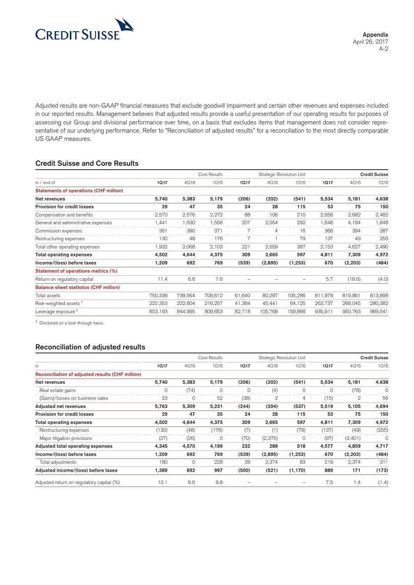

Adjusted results are non-GAAP financial measures that exclude goodwill impairment and certain other revenues and expenses included in our reported results. Management believes that adjusted results provide a useful presentation of our operating results for purposes of assessing our Group and divisional performance over time, on a basis that excludes items that management does not consider representative of our underlying performance. Refer to "Reconciliation of adjusted results" for a reconciliation to the most directly comparable US GAAP measures.

#### **Credit Suisse and Core Results**

|                                               |         |         | Core Results |        | Strategic Resolution Unit |         | <b>Credit Suisse</b> |          |         |  |
|-----------------------------------------------|---------|---------|--------------|--------|---------------------------|---------|----------------------|----------|---------|--|
| in $/$ end of                                 | 1017    | 4016    | 1016         | 10.17  | 4016                      | 1016    | 1017                 | 4016     | 1016    |  |
| <b>Statements of operations (CHF million)</b> |         |         |              |        |                           |         |                      |          |         |  |
| Net revenues                                  | 5,740   | 5,383   | 5,179        | (206)  | (202)                     | (541)   | 5,534                | 5,181    | 4,638   |  |
| Provision for credit losses                   | 29      | 47      | 35           | 24     | 28                        | 115     | 53                   | 75       | 150     |  |
| Compensation and benefits                     | 2,570   | 2,576   | 2,272        | 88     | 106                       | 210     | 2,658                | 2,682    | 2,482   |  |
| General and administrative expenses           | 1,441   | 1,630   | 1,556        | 207    | 2,554                     | 292     | 1,648                | 4,184    | 1,848   |  |
| Commission expenses                           | 361     | 390     | 371          |        | 4                         | 16      | 368                  | 394      | 387     |  |
| Restructuring expenses                        | 130     | 48      | 176          |        |                           | 79      | 137                  | 49       | 255     |  |
| Total other operating expenses                | 1,932   | 2,068   | 2,103        | 221    | 2,559                     | 387     | 2,153                | 4,627    | 2,490   |  |
| <b>Total operating expenses</b>               | 4,502   | 4,644   | 4,375        | 309    | 2,665                     | 597     | 4,811                | 7,309    | 4,972   |  |
| Income/(loss) before taxes                    | 1,209   | 692     | 769          | (539)  | (2,895)                   | (1,253) | 670                  | (2, 203) | (484)   |  |
| Statement of operations metrics (%)           |         |         |              |        |                           |         |                      |          |         |  |
| Return on regulatory capital                  | 11.4    | 6.6     | 7.6          |        |                           |         | 5.7                  | (18.6)   | (4.0)   |  |
| <b>Balance sheet statistics (CHF million)</b> |         |         |              |        |                           |         |                      |          |         |  |
| Total assets                                  | 750,339 | 739,564 | 708,612      | 61,640 | 80,297                    | 105,286 | 811,979              | 819,861  | 813,898 |  |
| Risk-weighted assets <sup>1</sup>             | 222,353 | 222,604 | 216,257      | 41,384 | 45,441                    | 64,125  | 263,737              | 268,045  | 280,382 |  |
| Leverage exposure <sup>1</sup>                | 853,193 | 844,995 | 809,653      | 82,718 | 105,768                   | 159,888 | 935,911              | 950,763  | 969,541 |  |

**<sup>1</sup>** Disclosed on a look-through basis.

|                                                  |       |         | Core Results | Strategic Resolution Unit |         |          | <b>Credit Suisse</b> |          |          |
|--------------------------------------------------|-------|---------|--------------|---------------------------|---------|----------|----------------------|----------|----------|
| in                                               | 1017  | 4016    | 1016         | 10.17                     | 4016    | 1016     | 1017                 | 4016     | 1016     |
| Reconciliation of adjusted results (CHF million) |       |         |              |                           |         |          |                      |          |          |
| Net revenues                                     | 5,740 | 5,383   | 5,179        | (206)                     | (202)   | (541)    | 5,534                | 5,181    | 4,638    |
| Real estate gains                                | 0     | (74)    | 0            | 0                         | (4)     | $\Omega$ | 0                    | (78)     | $\Omega$ |
| (Gains)/losses on business sales                 | 23    | $\circ$ | 52           | (38)                      | 2       | 4        | (15)                 | 2        | 56       |
| Adjusted net revenues                            | 5,763 | 5,309   | 5,231        | (244)                     | (204)   | (537)    | 5,519                | 5,105    | 4,694    |
| <b>Provision for credit losses</b>               | 29    | 47      | 35           | 24                        | 28      | 115      | 53                   | 75       | 150      |
| <b>Total operating expenses</b>                  | 4,502 | 4,644   | 4,375        | 309                       | 2,665   | 597      | 4,811                | 7,309    | 4,972    |
| Restructuring expenses                           | (130) | (48)    | (176)        | (7)                       | (1)     | (79)     | (137)                | (49)     | (255)    |
| Major litigation provisions                      | (27)  | (26)    | 0            | (70)                      | (2,375) | $\Omega$ | (97)                 | (2,401)  | $\Omega$ |
| Adjusted total operating expenses                | 4,345 | 4,570   | 4,199        | 232                       | 289     | 518      | 4,577                | 4,859    | 4,717    |
| Income/(loss) before taxes                       | 1,209 | 692     | 769          | (539)                     | (2,895) | (1,253)  | 670                  | (2, 203) | (484)    |
| Total adjustments                                | 180   | $\circ$ | 228          | 39                        | 2,374   | 83       | 219                  | 2,374    | 311      |
| Adjusted income/(loss) before taxes              | 1,389 | 692     | 997          | (500)                     | (521)   | (1, 170) | 889                  | 171      | (173)    |
| Adjusted return on regulatory capital (%)        | 13.1  | 6.6     | 9.8          |                           |         |          | 7.5                  | 1.4      | (1.4)    |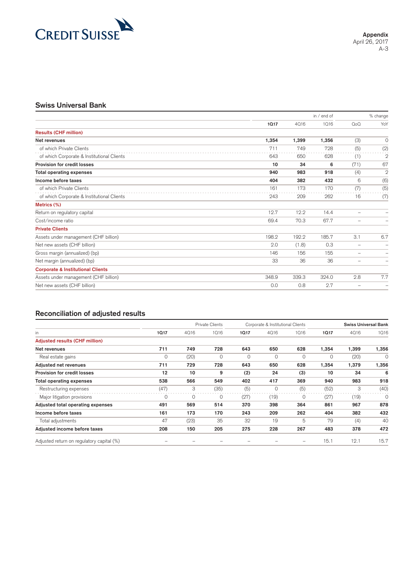

#### **Swiss Universal Bank**

|                                              |       | in $/$ end of |       |                          | % change                 |
|----------------------------------------------|-------|---------------|-------|--------------------------|--------------------------|
|                                              | 1017  | 4016          | 1016  | $Q_0Q$                   | YoY                      |
| <b>Results (CHF million)</b>                 |       |               |       |                          |                          |
| Net revenues                                 | 1,354 | 1,399         | 1,356 | (3)                      | 0                        |
| of which Private Clients                     | 711   | 749           | 728   | (5)                      | (2)                      |
| of which Corporate & Institutional Clients   | 643   | 650           | 628   | (1)                      | $\overline{2}$           |
| Provision for credit losses                  | 10    | 34            | 6     | (71)                     | 67                       |
| <b>Total operating expenses</b>              | 940   | 983           | 918   | (4)                      | $\overline{2}$           |
| Income before taxes                          | 404   | 382           | 432   | 6                        | (6)                      |
| of which Private Clients                     | 161   | 173           | 170   | (7)                      | (5)                      |
| of which Corporate & Institutional Clients   | 243   | 209           | 262   | 16                       | (7)                      |
| Metrics (%)                                  |       |               |       |                          |                          |
| Return on regulatory capital                 | 12.7  | 12.2          | 14.4  | $\overline{\phantom{m}}$ | -                        |
| Cost/income ratio                            | 69.4  | 70.3          | 67.7  | -                        | $\overline{\phantom{0}}$ |
| <b>Private Clients</b>                       |       |               |       |                          |                          |
| Assets under management (CHF billion)        | 198.2 | 192.2         | 185.7 | 3.1                      | 6.7                      |
| Net new assets (CHF billion)                 | 2.0   | (1.8)         | 0.3   | $\overline{\phantom{0}}$ | $\overline{\phantom{0}}$ |
| Gross margin (annualized) (bp)               | 146   | 156           | 155   | -                        | $\overline{\phantom{0}}$ |
| Net margin (annualized) (bp)                 | 33    | 36            | 36    | $\overline{\phantom{0}}$ | $\overline{\phantom{0}}$ |
| <b>Corporate &amp; Institutional Clients</b> |       |               |       |                          |                          |
| Assets under management (CHF billion)        | 348.9 | 339.3         | 324.0 | 2.8                      | 7.7                      |
| Net new assets (CHF billion)                 | 0.0   | 0.8           | 2.7   | $\overline{\phantom{a}}$ | $\equiv$                 |
|                                              |       |               |       |                          |                          |

|                                           |      | <b>Private Clients</b> |         | Corporate & Institutional Clients |          |          | <b>Swiss Universal Bank</b> |       |          |
|-------------------------------------------|------|------------------------|---------|-----------------------------------|----------|----------|-----------------------------|-------|----------|
| in.                                       | 1017 | 4016                   | 1016    | 1017                              | 4016     | 1016     | 1017                        | 4016  | 1016     |
| <b>Adjusted results (CHF million)</b>     |      |                        |         |                                   |          |          |                             |       |          |
| Net revenues                              | 711  | 749                    | 728     | 643                               | 650      | 628      | 1,354                       | 1,399 | 1,356    |
| Real estate gains                         | 0    | (20)                   | $\circ$ | 0                                 | 0        | $\Omega$ | 0                           | (20)  | $\Omega$ |
| Adjusted net revenues                     | 711  | 729                    | 728     | 643                               | 650      | 628      | 1,354                       | 1,379 | 1,356    |
| <b>Provision for credit losses</b>        | 12   | 10                     | 9       | (2)                               | 24       | (3)      | 10                          | 34    | 6        |
| Total operating expenses                  | 538  | 566                    | 549     | 402                               | 417      | 369      | 940                         | 983   | 918      |
| Restructuring expenses                    | (47) | 3                      | (35)    | (5)                               | $\Omega$ | (5)      | (52)                        | 3     | (40)     |
| Major litigation provisions               | O    | 0                      | 0       | (27)                              | (19)     | $\Omega$ | (27)                        | (19)  | $\Omega$ |
| Adjusted total operating expenses         | 491  | 569                    | 514     | 370                               | 398      | 364      | 861                         | 967   | 878      |
| Income before taxes                       | 161  | 173                    | 170     | 243                               | 209      | 262      | 404                         | 382   | 432      |
| Total adjustments                         | 47   | (23)                   | 35      | 32                                | 19       | 5        | 79                          | (4)   | 40       |
| Adjusted income before taxes              | 208  | 150                    | 205     | 275                               | 228      | 267      | 483                         | 378   | 472      |
| Adjusted return on regulatory capital (%) |      |                        |         |                                   |          |          | 15.1                        | 12.1  | 15.7     |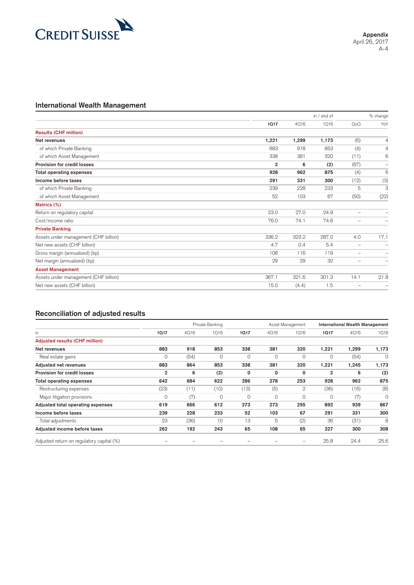

#### **International Wealth Management**

|                                       |                |       | in / end of | % change                 |                          |
|---------------------------------------|----------------|-------|-------------|--------------------------|--------------------------|
|                                       | 1017           | 4016  | 1016        | $Q_0Q$                   | YoY                      |
| <b>Results (CHF million)</b>          |                |       |             |                          |                          |
| Net revenues                          | 1,221          | 1,299 | 1,173       | (6)                      | 4                        |
| of which Private Banking              | 883            | 918   | 853         | (4)                      | 4                        |
| of which Asset Management             | 338            | 381   | 320         | (11)                     | 6                        |
| Provision for credit losses           | $\overline{2}$ | 6     | (2)         | (67)                     | -                        |
| <b>Total operating expenses</b>       | 928            | 962   | 875         | (4)                      | 6                        |
| Income before taxes                   | 291            | 331   | 300         | (12)                     | (3)                      |
| of which Private Banking              | 239            | 228   | 233         | 5                        | 3                        |
| of which Asset Management             | 52             | 103   | 67          | (50)                     | (22)                     |
| Metrics (%)                           |                |       |             |                          |                          |
| Return on regulatory capital          | 23.0           | 27.0  | 24.9        | $\overline{\phantom{m}}$ | ۰                        |
| Cost/income ratio                     | 76.0           | 74.1  | 74.6        | $\overline{\phantom{a}}$ | $\overline{\phantom{0}}$ |
| <b>Private Banking</b>                |                |       |             |                          |                          |
| Assets under management (CHF billion) | 336.2          | 323.2 | 287.0       | 4.0                      | 17.1                     |
| Net new assets (CHF billion)          | 4.7            | 0.4   | 5.4         | $\overline{\phantom{m}}$ | -                        |
| Gross margin (annualized) (bp)        | 108            | 116   | 119         | $\qquad \qquad$          | ۰                        |
| Net margin (annualized) (bp)          | 29             | 29    | 32          | $\overline{\phantom{a}}$ | ۳                        |
| <b>Asset Management</b>               |                |       |             |                          |                          |
| Assets under management (CHF billion) | 367.1          | 321.6 | 301.3       | 14.1                     | 21.8                     |
| Net new assets (CHF billion)          | 15.0           | (4.4) | 1.5         |                          | ۰                        |
|                                       |                |       |             |                          |                          |

|                                           |                | Private Banking |         |      | Asset Management |              |              | <b>International Wealth Management</b> |          |  |
|-------------------------------------------|----------------|-----------------|---------|------|------------------|--------------|--------------|----------------------------------------|----------|--|
| in.                                       | 1017           | 4016            | 1016    | 1017 | 4016             | 1016         | 1017         | 4016                                   | 1016     |  |
| <b>Adjusted results (CHF million)</b>     |                |                 |         |      |                  |              |              |                                        |          |  |
| Net revenues                              | 883            | 918             | 853     | 338  | 381              | 320          | 1,221        | 1,299                                  | 1,173    |  |
| Real estate gains                         | 0              | (54)            | $\circ$ | 0    | 0                | $\Omega$     | 0            | (54)                                   | $\Omega$ |  |
| Adjusted net revenues                     | 883            | 864             | 853     | 338  | 381              | 320          | 1,221        | 1,245                                  | 1,173    |  |
| Provision for credit losses               | $\overline{2}$ | 6               | (2)     | 0    | 0                | 0            | $\mathbf{2}$ | 6                                      | (2)      |  |
| Total operating expenses                  | 642            | 684             | 622     | 286  | 278              | 253          | 928          | 962                                    | 875      |  |
| Restructuring expenses                    | (23)           | (11)            | (10)    | (13) | (5)              | $\mathbf{2}$ | (36)         | (16)                                   | (8)      |  |
| Major litigation provisions               | 0              | (7)             | 0       | 0    | 0                |              | $\Omega$     | (7)                                    | 0        |  |
| Adjusted total operating expenses         | 619            | 666             | 612     | 273  | 273              | 255          | 892          | 939                                    | 867      |  |
| Income before taxes                       | 239            | 228             | 233     | 52   | 103              | 67           | 291          | 331                                    | 300      |  |
| Total adjustments                         | 23             | (36)            | 10      | 13   | 5                | (2)          | 36           | (31)                                   | 8        |  |
| Adjusted income before taxes              | 262            | 192             | 243     | 65   | 108              | 65           | 327          | 300                                    | 308      |  |
| Adjusted return on regulatory capital (%) |                |                 |         |      |                  |              | 25.8         | 24.4                                   | 25.6     |  |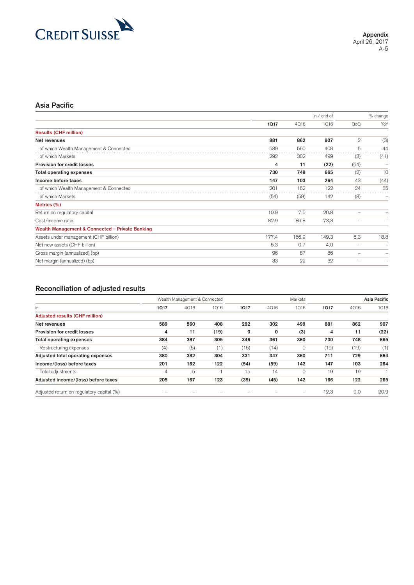

## **Asia Pacific**

|                                                            |       | in / end of |       |                          | % change                 |
|------------------------------------------------------------|-------|-------------|-------|--------------------------|--------------------------|
|                                                            | 1017  | 4016        | 1016  | $Q_0Q$                   | YoY                      |
| <b>Results (CHF million)</b>                               |       |             |       |                          |                          |
| Net revenues                                               | 881   | 862         | 907   | $\mathbf{2}$             | (3)                      |
| of which Wealth Management & Connected                     | 589   | 560         | 408   | 5                        | 44                       |
| of which Markets                                           | 292   | 302         | 499   | (3)                      | (41)                     |
| Provision for credit losses                                | 4     | 11          | (22)  | (64)                     | -                        |
| <b>Total operating expenses</b>                            | 730   | 748         | 665   | (2)                      | 10                       |
| Income before taxes                                        | 147   | 103         | 264   | 43                       | (44)                     |
| of which Wealth Management & Connected                     | 201   | 162         | 122   | 24                       | 65                       |
| of which Markets                                           | (54)  | (59)        | 142   | (8)                      | $\overline{\phantom{0}}$ |
| Metrics (%)                                                |       |             |       |                          |                          |
| Return on regulatory capital                               | 10.9  | 7.6         | 20.8  | $\overline{\phantom{0}}$ |                          |
| Cost/income ratio                                          | 82.9  | 86.8        | 73.3  | -                        |                          |
| <b>Wealth Management &amp; Connected - Private Banking</b> |       |             |       |                          |                          |
| Assets under management (CHF billion)                      | 177.4 | 166.9       | 149.3 | 6.3                      | 18.8                     |
| Net new assets (CHF billion)                               | 5.3   | 0.7         | 4.0   | -                        | -                        |
| Gross margin (annualized) (bp)                             | 96    | 87          | 86    | -                        | -                        |
| Net margin (annualized) (bp)                               | 33    | 22          | 32    | -                        |                          |
|                                                            |       |             |       |                          |                          |

|                                           |      | Wealth Management & Connected |      |       | Markets |          |      | <b>Asia Pacific</b> |      |  |
|-------------------------------------------|------|-------------------------------|------|-------|---------|----------|------|---------------------|------|--|
| in                                        | 1017 | 4016                          | 1016 | 10.17 | 4016    | 1016     | 1017 | 4016                | 1016 |  |
| <b>Adjusted results (CHF million)</b>     |      |                               |      |       |         |          |      |                     |      |  |
| Net revenues                              | 589  | 560                           | 408  | 292   | 302     | 499      | 881  | 862                 | 907  |  |
| <b>Provision for credit losses</b>        | 4    | 11                            | (19) | 0     | 0       | (3)      | 4    | 11                  | (22) |  |
| <b>Total operating expenses</b>           | 384  | 387                           | 305  | 346   | 361     | 360      | 730  | 748                 | 665  |  |
| Restructuring expenses                    | (4)  | (5)                           | (1)  | (15)  | (14)    |          | (19) | (19)                | (1)  |  |
| Adjusted total operating expenses         | 380  | 382                           | 304  | 331   | 347     | 360      | 711  | 729                 | 664  |  |
| Income/(loss) before taxes                | 201  | 162                           | 122  | (54)  | (59)    | 142      | 147  | 103                 | 264  |  |
| Total adjustments                         | 4    | 5                             |      | 15    | 14      | $\Omega$ | 19   | 19                  |      |  |
| Adjusted income/(loss) before taxes       | 205  | 167                           | 123  | (39)  | (45)    | 142      | 166  | 122                 | 265  |  |
| Adjusted return on regulatory capital (%) |      |                               |      |       |         |          | 12.3 | 9.0                 | 20.9 |  |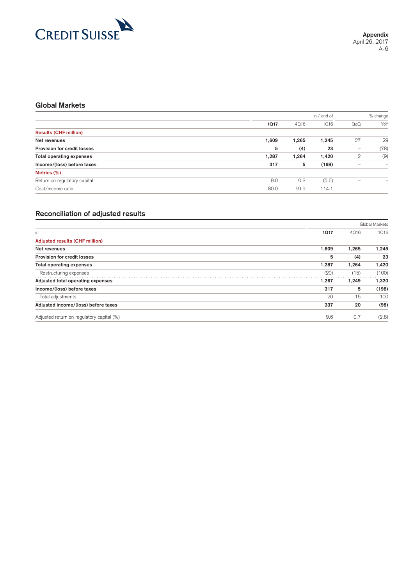

## **Global Markets**

|                                 |       |       | in $/$ end of |              | % change                 |  |
|---------------------------------|-------|-------|---------------|--------------|--------------------------|--|
|                                 | 1017  | 4016  | 1016          | $Q_0Q$       | YoY                      |  |
| <b>Results (CHF million)</b>    |       |       |               |              |                          |  |
| Net revenues                    | 1,609 | 1.265 | 1,245         | 27           | 29                       |  |
| Provision for credit losses     | 5     | (4)   | 23            | -            | (78)                     |  |
| <b>Total operating expenses</b> | 1,287 | 1,264 | 1,420         | $\mathbf{2}$ | (9)                      |  |
| Income/(loss) before taxes      | 317   | 5     | (198)         | -            | $\overline{\phantom{0}}$ |  |
| Metrics (%)                     |       |       |               |              |                          |  |
| Return on regulatory capital    | 9.0   | 0.3   | (5.6)         | -            |                          |  |
| Cost/income ratio               | 80.0  | 99.9  | 114.1         |              | $\overline{\phantom{0}}$ |  |

|                                           |       |       | Global Markets |
|-------------------------------------------|-------|-------|----------------|
| in                                        | 1017  | 4016  | 1016           |
| <b>Adjusted results (CHF million)</b>     |       |       |                |
| Net revenues                              | 1,609 | 1,265 | 1,245          |
| <b>Provision for credit losses</b>        | 5     | (4)   | 23             |
| <b>Total operating expenses</b>           | 1,287 | 1,264 | 1,420          |
| Restructuring expenses                    | (20)  | (15)  | (100)          |
| Adjusted total operating expenses         | 1,267 | 1,249 | 1,320          |
| Income/(loss) before taxes                | 317   | 5     | (198)          |
| Total adjustments                         | 20    | 15    | 100            |
| Adjusted income/(loss) before taxes       | 337   | 20    | (98)           |
| Adjusted return on regulatory capital (%) | 9.6   | 0.7   | (2.8)          |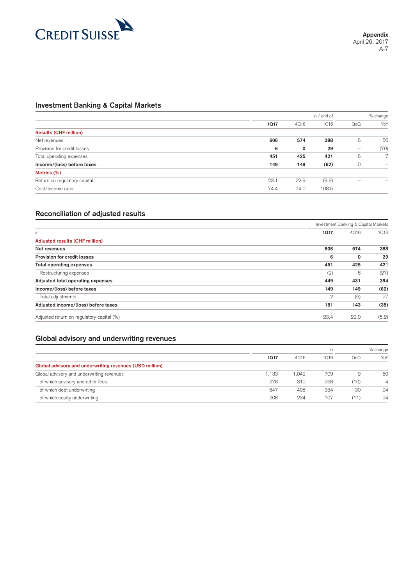

## **Investment Banking & Capital Markets**

|                              |      | in / end of |       |                  | % change       |  |
|------------------------------|------|-------------|-------|------------------|----------------|--|
|                              | 1017 | 4016        | 1016  | Q <sub>0</sub> Q | YoY            |  |
| <b>Results (CHF million)</b> |      |             |       |                  |                |  |
| Net revenues                 | 606  | 574         | 388   | 6                | 56             |  |
| Provision for credit losses  | 6    | 0           | 29    | -                | (79)           |  |
| Total operating expenses     | 451  | 425         | 421   | 6                | $\overline{7}$ |  |
| Income/(loss) before taxes   | 149  | 149         | (62)  | 0                | -              |  |
| Metrics (%)                  |      |             |       |                  |                |  |
| Return on regulatory capital | 23.1 | 22.9        | (9.9) |                  | -              |  |
| Cost/income ratio            | 74.4 | 74.0        | 108.5 |                  | -              |  |

#### **Reconciliation of adjusted results**

| Investment Banking & Capital Markets |      |       |  |
|--------------------------------------|------|-------|--|
| 1017                                 | 4016 | 1016  |  |
|                                      |      |       |  |
| 606                                  | 574  | 388   |  |
| 6                                    | 0    | 29    |  |
| 451                                  | 425  | 421   |  |
| (2)                                  | 6    | (27)  |  |
| 449                                  | 431  | 394   |  |
| 149                                  | 149  | (62)  |  |
| $\mathbf{2}$                         | (6)  | 27    |  |
| 151                                  | 143  | (35)  |  |
| 23.4                                 | 22.0 | (5.2) |  |
|                                      |      |       |  |

#### **Global advisory and underwriting revenues**

|                                                         |       |       | in   | % change |     |
|---------------------------------------------------------|-------|-------|------|----------|-----|
|                                                         | 1017  | 4016  | 1016 | $Q_0Q$   | YoY |
| Global advisory and underwriting revenues (USD million) |       |       |      |          |     |
| Global advisory and underwriting revenues               | 1.133 | 1.042 | 709  | 9        | 60  |
| of which advisory and other fees                        | 278   | 310   | 268  | (10)     | Δ   |
| of which debt underwriting                              | 647   | 498   | 334  | 30       | 94  |
| of which equity underwriting                            | 208   | 234   | 107  | (11)     | 94  |
|                                                         |       |       |      |          |     |